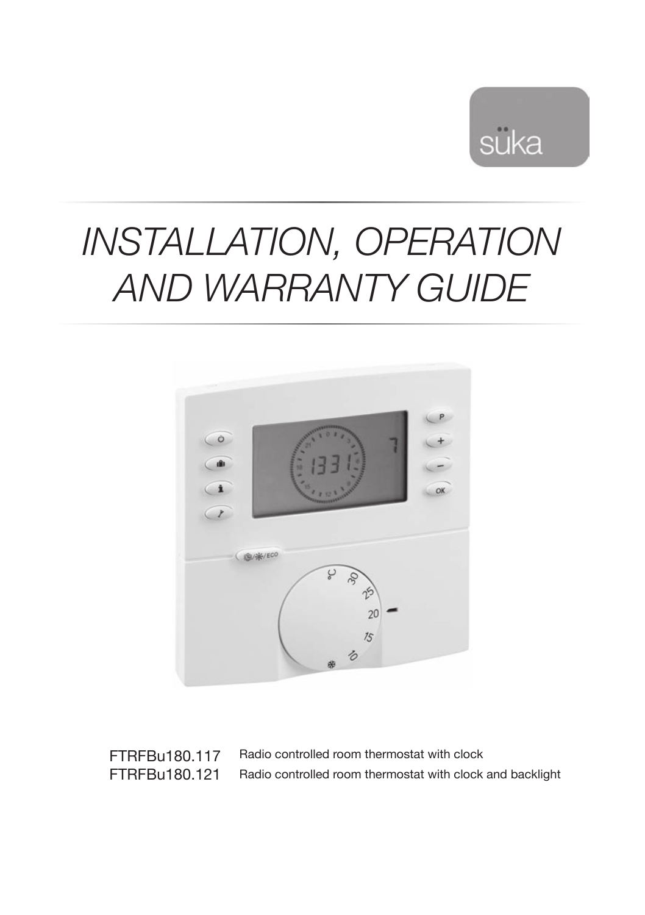

# *Installation, operation and warranty guide*



FTRFBu180.117 FTRFBu180.121 Radio controlled room thermostat with clock Radio controlled room thermostat with clock and backlight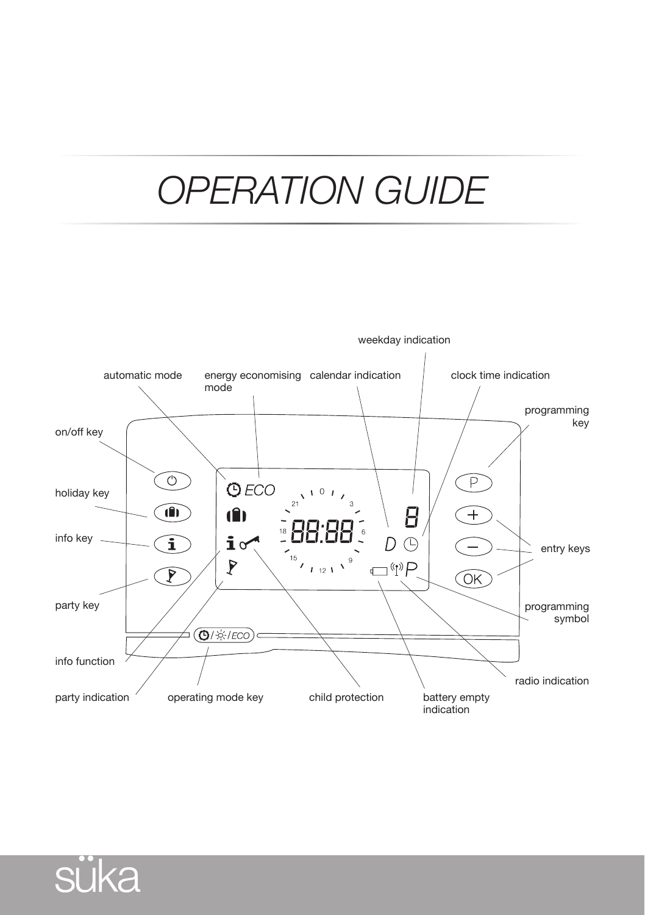# *OPERATION guide*



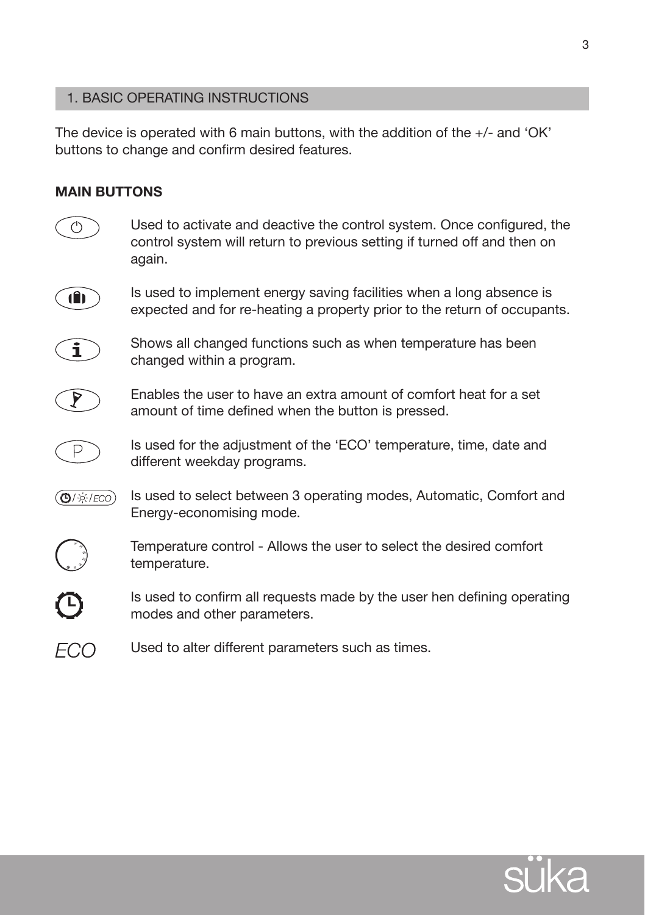# 1. Basic operating instructions

The device is operated with 6 main buttons, with the addition of the  $+/-$  and 'OK' buttons to change and confirm desired features.

# **Main buttons**



Used to activate and deactive the control system. Once configured, the control system will return to previous setting if turned off and then on again.



Is used to implement energy saving facilities when a long absence is expected and for re-heating a property prior to the return of occupants.



Shows all changed functions such as when temperature has been changed within a program.



Enables the user to have an extra amount of comfort heat for a set amount of time defined when the button is pressed.



Is used for the adjustment of the 'ECO' temperature, time, date and different weekday programs.

Is used to select between 3 operating modes, Automatic, Comfort and (❻/※/*ECO*) Energy-economising mode.



Temperature control - Allows the user to select the desired comfort temperature.



Is used to confirm all requests made by the user hen defining operating modes and other parameters.

**FCO** Used to alter different parameters such as times.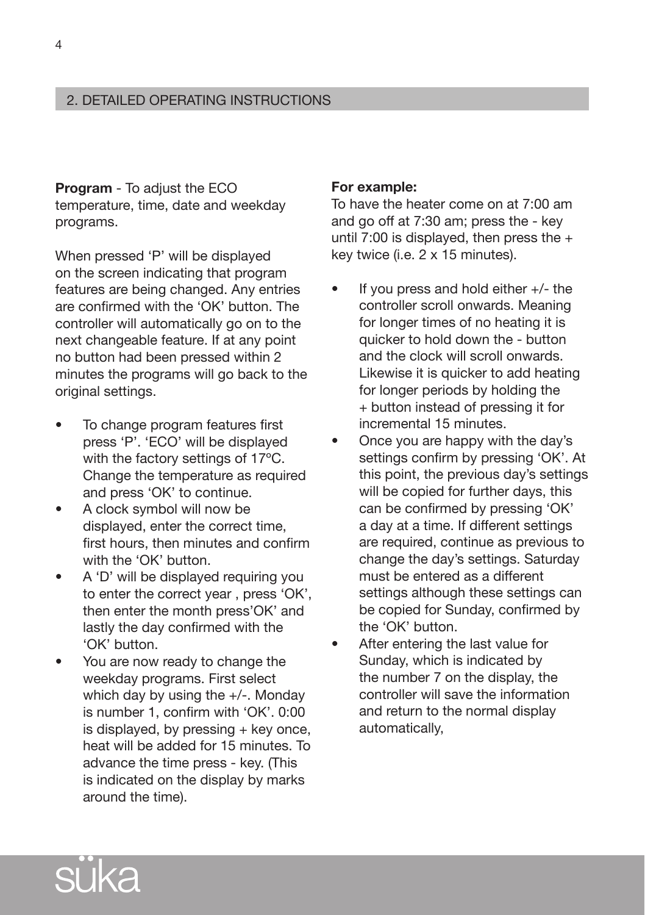# 2. DETAILED operating instructions

**Program** - To adjust the ECO temperature, time, date and weekday programs.

When pressed 'P' will be displayed on the screen indicating that program features are being changed. Any entries are confirmed with the 'OK' button. The controller will automatically go on to the next changeable feature. If at any point no button had been pressed within 2 minutes the programs will go back to the original settings.

- To change program features first press 'P'. 'ECO' will be displayed with the factory settings of 17ºC. Change the temperature as required and press 'OK' to continue.
- A clock symbol will now be displayed, enter the correct time, first hours, then minutes and confirm with the 'OK' button.
- A 'D' will be displayed requiring you to enter the correct year , press 'OK', then enter the month press'OK' and lastly the day confirmed with the 'OK' button.
- You are now ready to change the weekday programs. First select which day by using the +/-. Monday is number 1, confirm with 'OK'. 0:00 is displayed, by pressing  $+$  key once, heat will be added for 15 minutes. To advance the time press - key. (This is indicated on the display by marks around the time).

#### **For example:**

To have the heater come on at 7:00 am and go off at 7:30 am; press the - key until 7:00 is displayed, then press the  $+$ key twice (i.e. 2 x 15 minutes).

- If you press and hold either  $+/-$  the controller scroll onwards. Meaning for longer times of no heating it is quicker to hold down the - button and the clock will scroll onwards. Likewise it is quicker to add heating for longer periods by holding the + button instead of pressing it for incremental 15 minutes.
- Once you are happy with the day's settings confirm by pressing 'OK'. At this point, the previous day's settings will be copied for further days, this can be confirmed by pressing 'OK' a day at a time. If different settings are required, continue as previous to change the day's settings. Saturday must be entered as a different settings although these settings can be copied for Sunday, confirmed by the 'OK' button.
- After entering the last value for Sunday, which is indicated by the number 7 on the display, the controller will save the information and return to the normal display automatically,

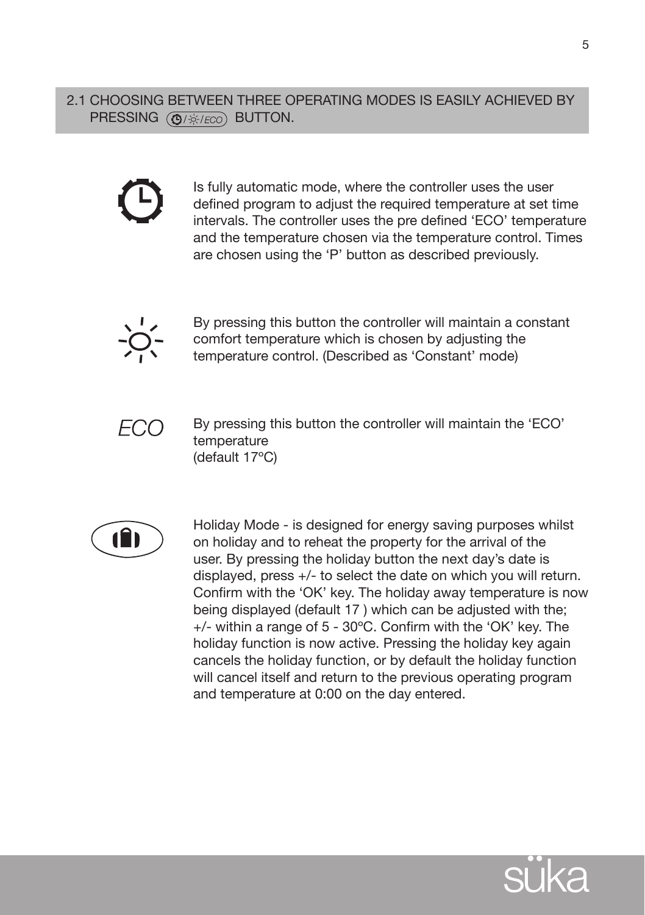2.1 Choosing between three operating modes is easily achieved by PRESSING  $\overline{(\mathbf{Q}/\mathcal{B}/ECO)}$  BUTTON.



Is fully automatic mode, where the controller uses the user defined program to adjust the required temperature at set time intervals. The controller uses the pre defined 'ECO' temperature and the temperature chosen via the temperature control. Times are chosen using the 'P' button as described previously.



By pressing this button the controller will maintain a constant comfort temperature which is chosen by adjusting the temperature control. (Described as 'Constant' mode)



By pressing this button the controller will maintain the 'ECO' temperature (default 17ºC)



Holiday Mode - is designed for energy saving purposes whilst on holiday and to reheat the property for the arrival of the user. By pressing the holiday button the next day's date is displayed, press +/- to select the date on which you will return. Confirm with the 'OK' key. The holiday away temperature is now being displayed (default 17 ) which can be adjusted with the; +/- within a range of 5 - 30ºC. Confirm with the 'OK' key. The holiday function is now active. Pressing the holiday key again cancels the holiday function, or by default the holiday function will cancel itself and return to the previous operating program and temperature at 0:00 on the day entered.

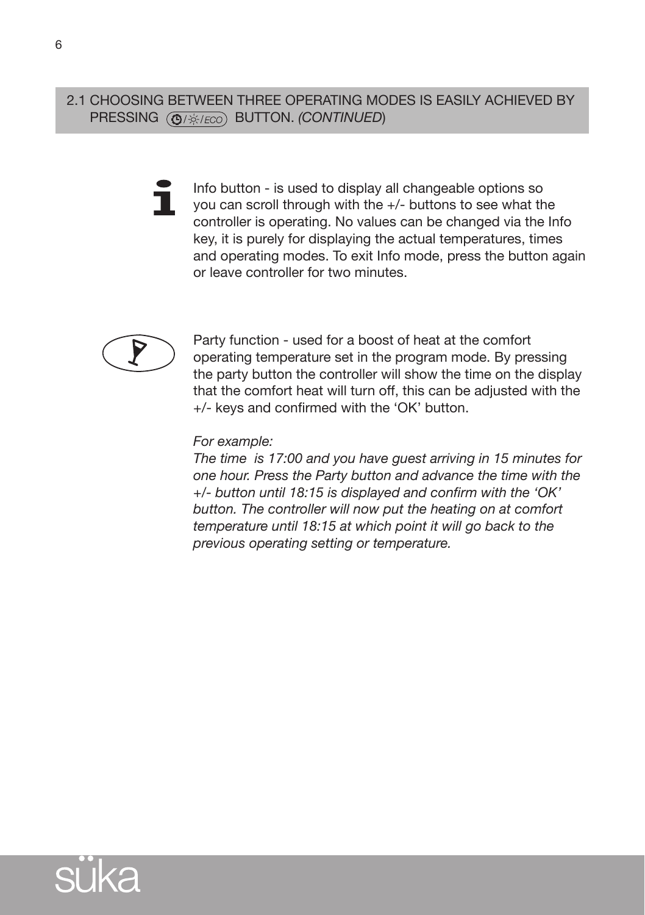2.1 Choosing between three operating modes is easily achieved by pressing button. *(continued*)

> Info button - is used to display all changeable options so Ť you can scroll through with the +/- buttons to see what the controller is operating. No values can be changed via the Info key, it is purely for displaying the actual temperatures, times and operating modes. To exit Info mode, press the button again or leave controller for two minutes.



Party function - used for a boost of heat at the comfort operating temperature set in the program mode. By pressing the party button the controller will show the time on the display that the comfort heat will turn off, this can be adjusted with the +/- keys and confirmed with the 'OK' button.

#### *For example:*

*The time is 17:00 and you have guest arriving in 15 minutes for one hour. Press the Party button and advance the time with the +/- button until 18:15 is displayed and confirm with the 'OK' button. The controller will now put the heating on at comfort temperature until 18:15 at which point it will go back to the previous operating setting or temperature.*

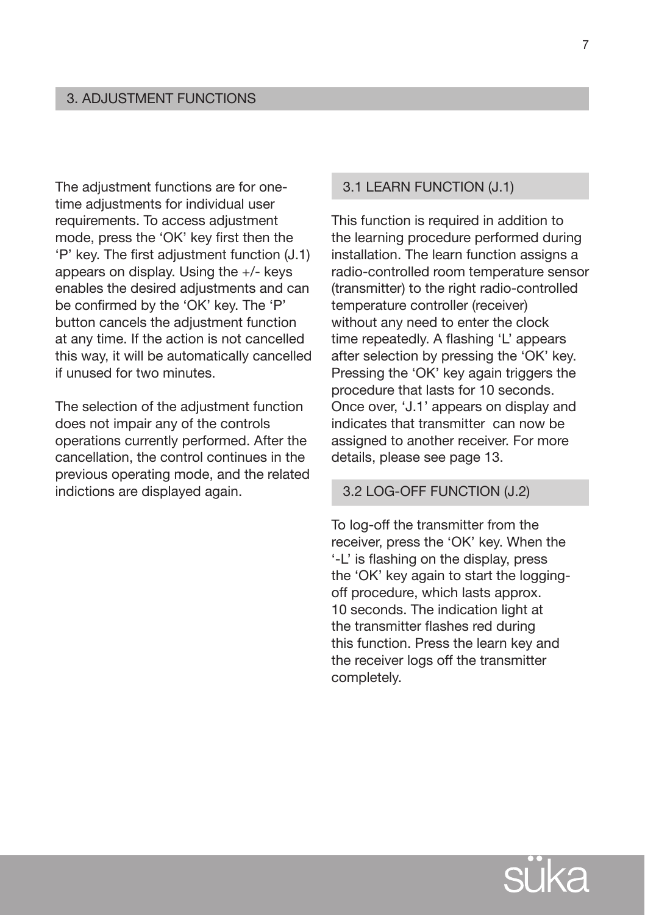The adjustment functions are for onetime adjustments for individual user requirements. To access adjustment mode, press the 'OK' key first then the 'P' key. The first adjustment function (J.1) appears on display. Using the +/- keys enables the desired adjustments and can be confirmed by the 'OK' key. The 'P' button cancels the adjustment function at any time. If the action is not cancelled this way, it will be automatically cancelled if unused for two minutes.

The selection of the adjustment function does not impair any of the controls operations currently performed. After the cancellation, the control continues in the previous operating mode, and the related indictions are displayed again.

# 3.1 Learn function (J.1)

This function is required in addition to the learning procedure performed during installation. The learn function assigns a radio-controlled room temperature sensor (transmitter) to the right radio-controlled temperature controller (receiver) without any need to enter the clock time repeatedly. A flashing 'L' appears after selection by pressing the 'OK' key. Pressing the 'OK' key again triggers the procedure that lasts for 10 seconds. Once over, 'J.1' appears on display and indicates that transmitter can now be assigned to another receiver. For more details, please see page 13.

#### 3.2 Log-off function (J.2)

To log-off the transmitter from the receiver, press the 'OK' key. When the '-L' is flashing on the display, press the 'OK' key again to start the loggingoff procedure, which lasts approx. 10 seconds. The indication light at the transmitter flashes red during this function. Press the learn key and the receiver logs off the transmitter completely.

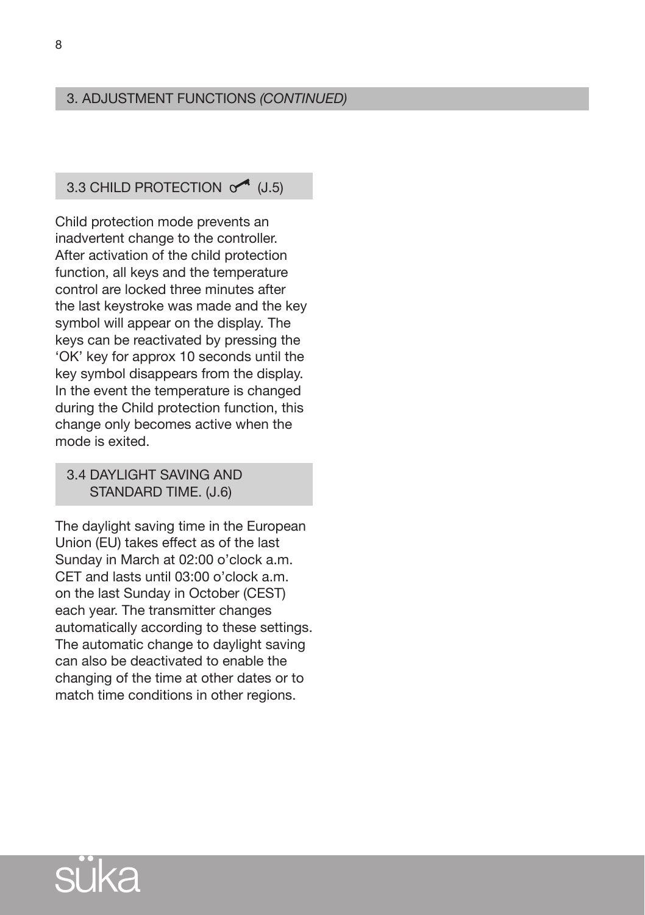# 3. Adjustment functions *(CONTINUED)*

# 3.3 CHILD PROTECTION  $\circ$  (J.5)

Child protection mode prevents an inadvertent change to the controller. After activation of the child protection function, all keys and the temperature control are locked three minutes after the last keystroke was made and the key symbol will appear on the display. The keys can be reactivated by pressing the 'OK' key for approx 10 seconds until the key symbol disappears from the display. In the event the temperature is changed during the Child protection function, this change only becomes active when the mode is exited.

# 3.4 daylight saving and standard time. (J.6)

The daylight saving time in the European Union (EU) takes effect as of the last Sunday in March at 02:00 o'clock a.m. CET and lasts until 03:00 o'clock a.m. on the last Sunday in October (CEST) each year. The transmitter changes automatically according to these settings. The automatic change to daylight saving can also be deactivated to enable the changing of the time at other dates or to match time conditions in other regions.

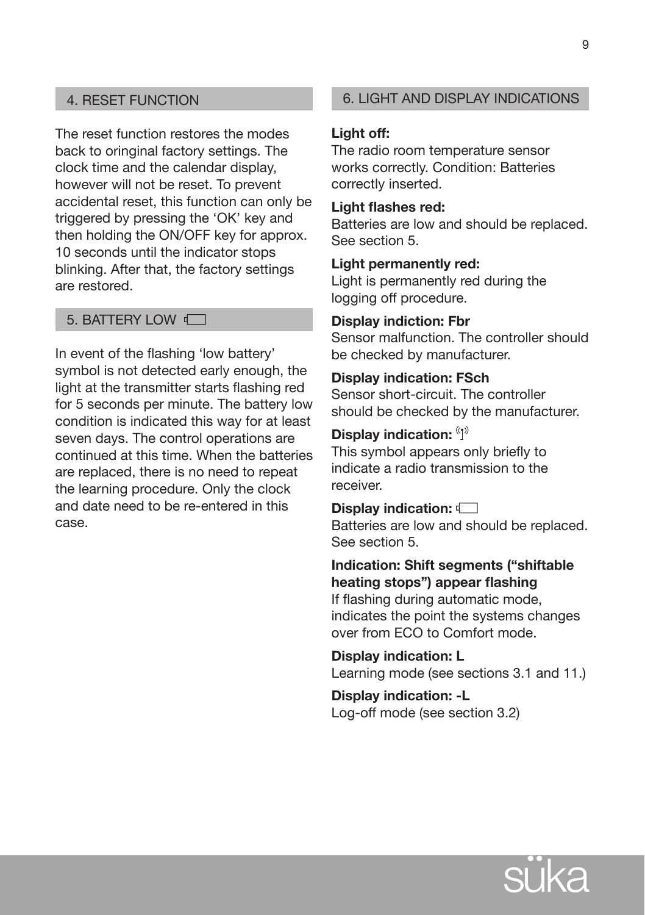The reset function restores the modes back to oringinal factory settings. The clock time and the calendar display, however will not be reset. To prevent accidental reset, this function can only be triggered by pressing the 'OK' key and then holding the ON/OFF key for approx. 10 seconds until the indicator stops blinking. After that, the factory settings are restored.

# 5. BATTERY LOW  $\sqrt{ }$

In event of the flashing 'low battery' symbol is not detected early enough, the light at the transmitter starts flashing red for 5 seconds per minute. The battery low condition is indicated this way for at least seven days. The control operations are continued at this time. When the batteries are replaced, there is no need to repeat the learning procedure. Only the clock and date need to be re-entered in this case.

# 4. RESET FUNCTION 6. Light AND DISPLAY INDICATIONS

#### **Light off:**

The radio room temperature sensor works correctly. Condition: Batteries correctly inserted.

#### **Light flashes red:**

Batteries are low and should be replaced. See section 5.

#### **Light permanently red:**

Light is permanently red during the logging off procedure.

#### **Display indiction: Fbr**

Sensor malfunction. The controller should be checked by manufacturer.

# **Display indication: FSch**

Sensor short-circuit. The controller should be checked by the manufacturer.

# **Display indication:**

This symbol appears only briefly to indicate a radio transmission to the receiver.

#### **Display indication:**

Batteries are low and should be replaced. See section 5.

# **Indication: Shift segments ("shiftable heating stops") appear flashing**

If flashing during automatic mode, indicates the point the systems changes over from ECO to Comfort mode.

**Display indication: L** Learning mode (see sections 3.1 and 11.)

**Display indication: -L** Log-off mode (see section 3.2)

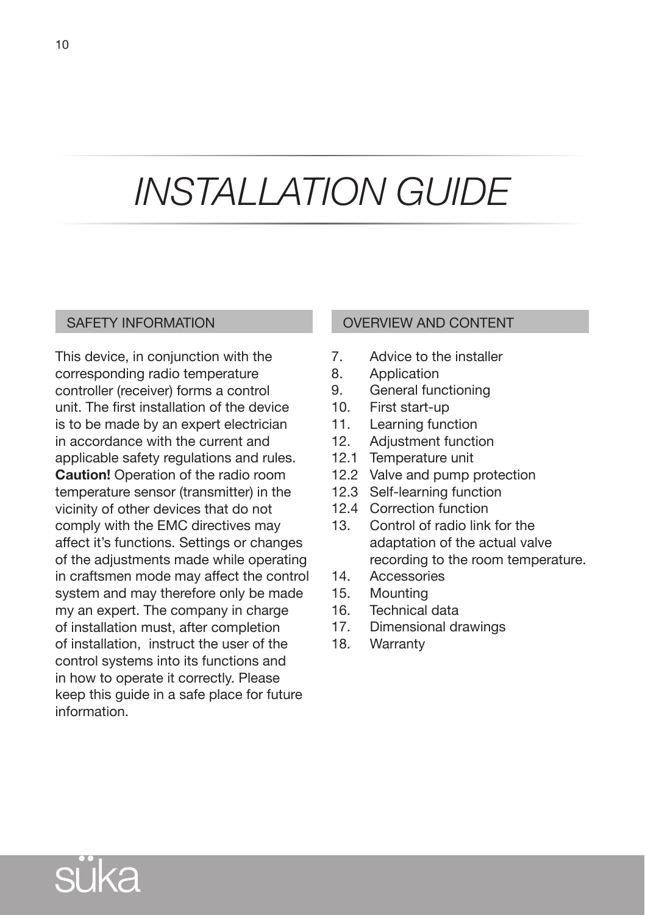# *INSTALLATION guide*

# SAFETY INFORMATION

This device, in conjunction with the corresponding radio temperature controller (receiver) forms a control unit. The first installation of the device is to be made by an expert electrician in accordance with the current and applicable safety regulations and rules. **Caution!** Operation of the radio room temperature sensor (transmitter) in the vicinity of other devices that do not comply with the EMC directives may affect it's functions. Settings or changes of the adjustments made while operating in craftsmen mode may affect the control system and may therefore only be made my an expert. The company in charge of installation must, after completion of installation, instruct the user of the control systems into its functions and in how to operate it correctly. Please keep this guide in a safe place for future information.

# OVERVIEW AND CONTENT

- 7. Advice to the installer
- 8. Application
- 9. General functioning
- 10. First start-up
- 11. Learning function
- 12. Adjustment function
- 12.1 Temperature unit
- 12.2 Valve and pump protection
- 12.3 Self-learning function
- 12.4 Correction function
- 13. Control of radio link for the adaptation of the actual valve recording to the room temperature.
- 14. Accessories
- 15. Mounting
- 16. Technical data
- 17. Dimensional drawings
- 18. Warranty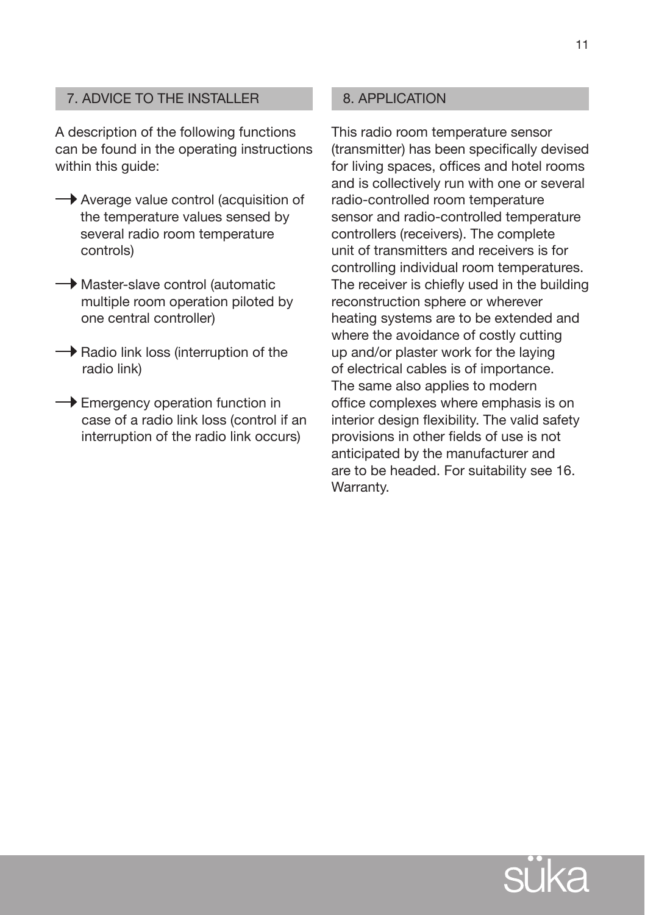# 7. ADVICE TO THE INSTALLER

A description of the following functions can be found in the operating instructions within this quide:

- Average value control (acquisition of the temperature values sensed by several radio room temperature controls)
- $\rightarrow$  Master-slave control (automatic multiple room operation piloted by one central controller)
- $\rightarrow$  Radio link loss (interruption of the radio link)
- $\rightarrow$  Emergency operation function in case of a radio link loss (control if an interruption of the radio link occurs)

#### 8. APPLICATION

This radio room temperature sensor (transmitter) has been specifically devised for living spaces, offices and hotel rooms and is collectively run with one or several radio-controlled room temperature sensor and radio-controlled temperature controllers (receivers). The complete unit of transmitters and receivers is for controlling individual room temperatures. The receiver is chiefly used in the building reconstruction sphere or wherever heating systems are to be extended and where the avoidance of costly cutting up and/or plaster work for the laying of electrical cables is of importance. The same also applies to modern office complexes where emphasis is on interior design flexibility. The valid safety provisions in other fields of use is not anticipated by the manufacturer and are to be headed. For suitability see 16. Warranty.



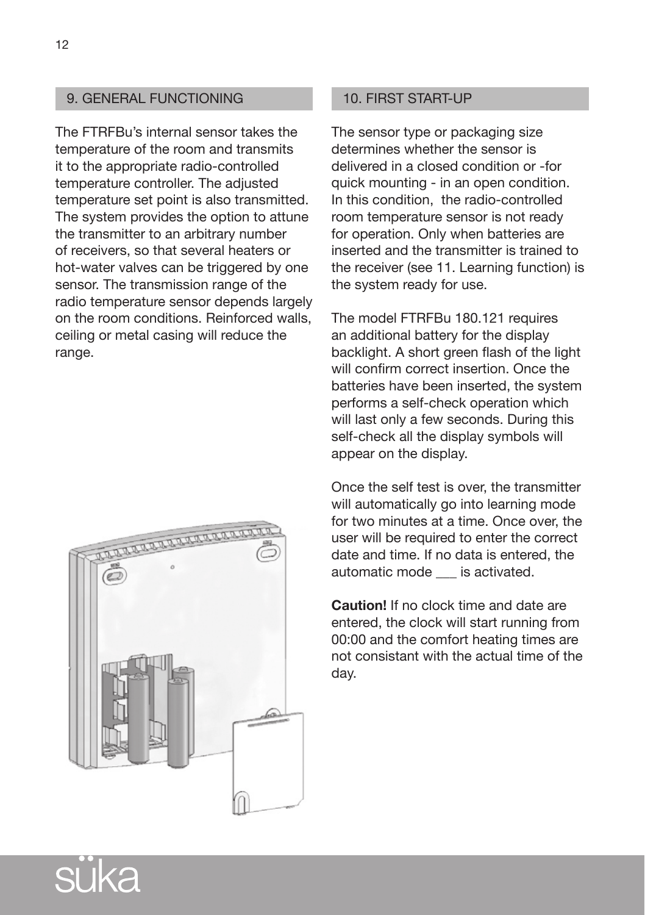# 9. GENERAL FUNCTIONING

The FTRFBu's internal sensor takes the temperature of the room and transmits it to the appropriate radio-controlled temperature controller. The adjusted temperature set point is also transmitted. The system provides the option to attune the transmitter to an arbitrary number of receivers, so that several heaters or hot-water valves can be triggered by one sensor. The transmission range of the radio temperature sensor depends largely on the room conditions. Reinforced walls, ceiling or metal casing will reduce the range.



#### 10. FIRST START-UP

The sensor type or packaging size determines whether the sensor is delivered in a closed condition or -for quick mounting - in an open condition. In this condition, the radio-controlled room temperature sensor is not ready for operation. Only when batteries are inserted and the transmitter is trained to the receiver (see 11. Learning function) is the system ready for use.

The model FTRFBu 180.121 requires an additional battery for the display backlight. A short green flash of the light will confirm correct insertion. Once the batteries have been inserted, the system performs a self-check operation which will last only a few seconds. During this self-check all the display symbols will appear on the display.

Once the self test is over, the transmitter will automatically go into learning mode for two minutes at a time. Once over, the user will be required to enter the correct date and time. If no data is entered, the automatic mode \_\_\_ is activated.

**Caution!** If no clock time and date are entered, the clock will start running from 00:00 and the comfort heating times are not consistant with the actual time of the day.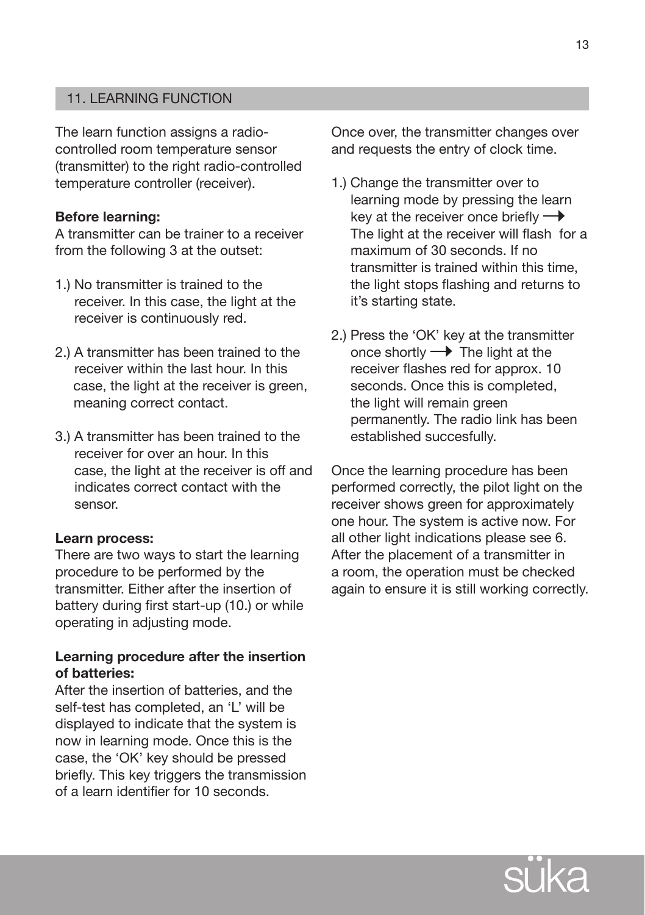# 11. LEARNING FUNCTION

The learn function assigns a radiocontrolled room temperature sensor (transmitter) to the right radio-controlled temperature controller (receiver).

#### **Before learning:**

A transmitter can be trainer to a receiver from the following 3 at the outset:

- 1.) No transmitter is trained to the receiver. In this case, the light at the receiver is continuously red.
- 2.) A transmitter has been trained to the receiver within the last hour. In this case, the light at the receiver is green, meaning correct contact.
- 3.) A transmitter has been trained to the receiver for over an hour. In this case, the light at the receiver is off and indicates correct contact with the sensor.

#### **Learn process:**

There are two ways to start the learning procedure to be performed by the transmitter. Either after the insertion of battery during first start-up (10.) or while operating in adjusting mode.

#### **Learning procedure after the insertion of batteries:**

After the insertion of batteries, and the self-test has completed, an 'L' will be displayed to indicate that the system is now in learning mode. Once this is the case, the 'OK' key should be pressed briefly. This key triggers the transmission of a learn identifier for 10 seconds.

Once over, the transmitter changes over and requests the entry of clock time.

- 1.) Change the transmitter over to learning mode by pressing the learn key at the receiver once briefly  $\rightarrow$ The light at the receiver will flash for a maximum of 30 seconds. If no transmitter is trained within this time, the light stops flashing and returns to it's starting state.
- 2.) Press the 'OK' key at the transmitter once shortly  $\rightarrow$  The light at the receiver flashes red for approx. 10 seconds. Once this is completed, the light will remain green permanently. The radio link has been established succesfully.

Once the learning procedure has been performed correctly, the pilot light on the receiver shows green for approximately one hour. The system is active now. For all other light indications please see 6. After the placement of a transmitter in a room, the operation must be checked again to ensure it is still working correctly.

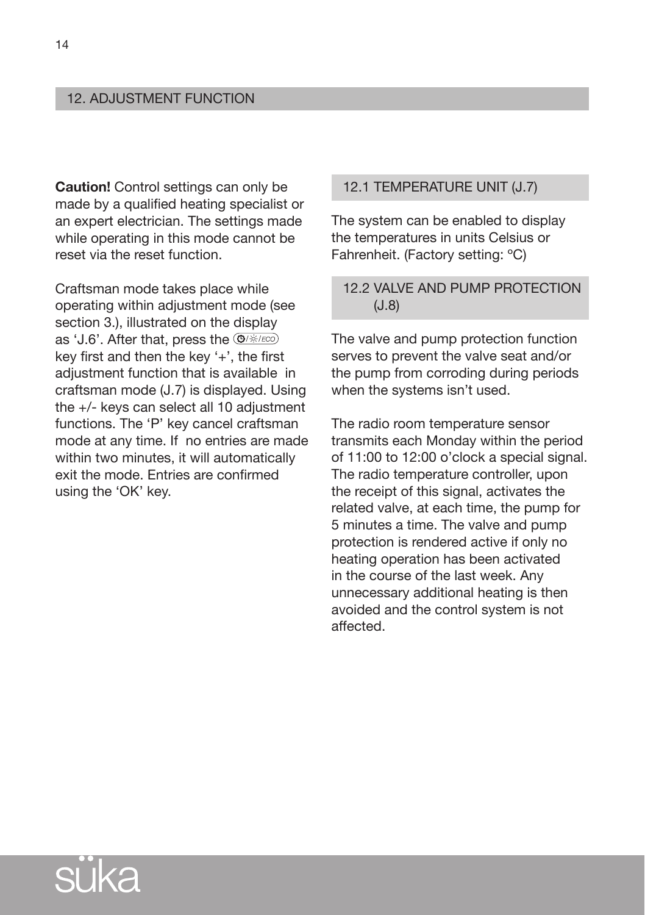### 12. ADJUSTMENT FUNCTION

**Caution!** Control settings can only be made by a qualified heating specialist or an expert electrician. The settings made while operating in this mode cannot be reset via the reset function.

Craftsman mode takes place while operating within adjustment mode (see section 3.), illustrated on the display as 'J.6'. After that, press the @/\*/ECO key first and then the key '+', the first adjustment function that is available in craftsman mode (J.7) is displayed. Using the +/- keys can select all 10 adjustment functions. The 'P' key cancel craftsman mode at any time. If no entries are made within two minutes, it will automatically exit the mode. Entries are confirmed using the 'OK' key.

# 12.1 Temperature unit (J.7)

The system can be enabled to display the temperatures in units Celsius or Fahrenheit. (Factory setting: ºC)

# 12.2 VALVE AND PUMP PROTECTION (J.8)

The valve and pump protection function serves to prevent the valve seat and/or the pump from corroding during periods when the systems isn't used.

The radio room temperature sensor transmits each Monday within the period of 11:00 to 12:00 o'clock a special signal. The radio temperature controller, upon the receipt of this signal, activates the related valve, at each time, the pump for 5 minutes a time. The valve and pump protection is rendered active if only no heating operation has been activated in the course of the last week. Any unnecessary additional heating is then avoided and the control system is not affected.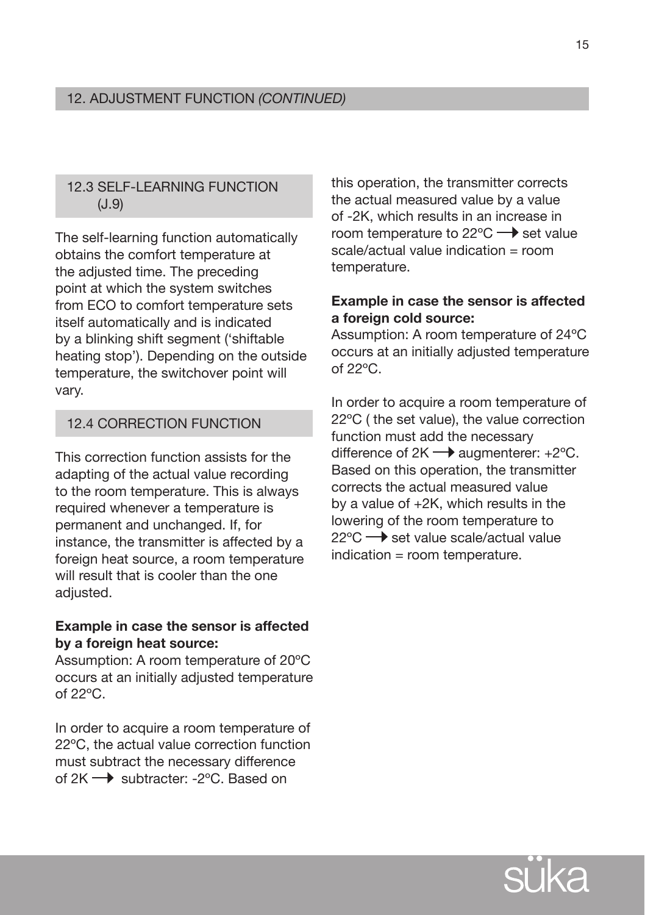# 12.3 SELF-LEARNING FUNCTION (J.9)

The self-learning function automatically obtains the comfort temperature at the adjusted time. The preceding point at which the system switches from ECO to comfort temperature sets itself automatically and is indicated by a blinking shift segment ('shiftable heating stop'). Depending on the outside temperature, the switchover point will vary.

# 12.4 Correction function

This correction function assists for the adapting of the actual value recording to the room temperature. This is always required whenever a temperature is permanent and unchanged. If, for instance, the transmitter is affected by a foreign heat source, a room temperature will result that is cooler than the one adiusted.

# **Example in case the sensor is affected by a foreign heat source:**

Assumption: A room temperature of 20ºC occurs at an initially adjusted temperature of  $22^{\circ}$ C.

In order to acquire a room temperature of 22ºC, the actual value correction function must subtract the necessary difference of 2K → subtracter: -2°C. Based on

this operation, the transmitter corrects the actual measured value by a value of -2K, which results in an increase in room temperature to 22 $\degree$ C  $\rightarrow$  set value scale/actual value indication = room temperature.

# **Example in case the sensor is affected a foreign cold source:**

Assumption: A room temperature of 24ºC occurs at an initially adjusted temperature of  $22^{\circ}$ C.

In order to acquire a room temperature of 22ºC ( the set value), the value correction function must add the necessary difference of  $2K \rightarrow$  augmenterer:  $+2^{\circ}C$ . Based on this operation, the transmitter corrects the actual measured value by a value of +2K, which results in the lowering of the room temperature to  $22^{\circ}$ C  $\rightarrow$  set value scale/actual value indication = room temperature.

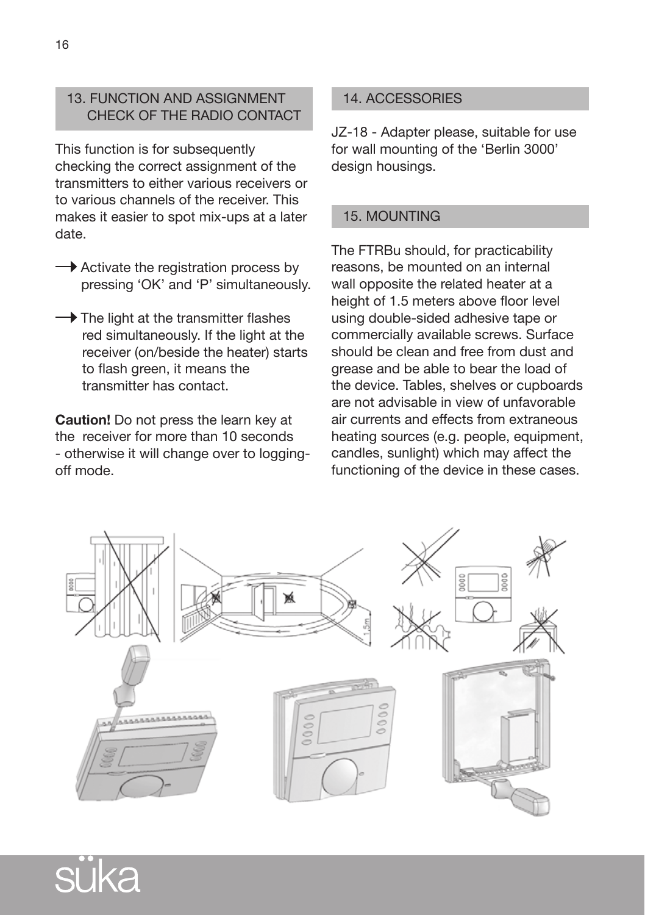# 13. FUNCTION AND ASSIGNMENT CHECK OF THE RADIO CONTACT

This function is for subsequently checking the correct assignment of the transmitters to either various receivers or to various channels of the receiver. This makes it easier to spot mix-ups at a later date.

- $\rightarrow$  Activate the registration process by pressing 'OK' and 'P' simultaneously.
- $\rightarrow$  The light at the transmitter flashes red simultaneously. If the light at the receiver (on/beside the heater) starts to flash green, it means the transmitter has contact.

**Caution!** Do not press the learn key at the receiver for more than 10 seconds - otherwise it will change over to loggingoff mode.

# 14. ACCESSORIES

JZ-18 - Adapter please, suitable for use for wall mounting of the 'Berlin 3000' design housings.

# 15. MOUNTING

The FTRBu should, for practicability reasons, be mounted on an internal wall opposite the related heater at a height of 1.5 meters above floor level using double-sided adhesive tape or commercially available screws. Surface should be clean and free from dust and grease and be able to bear the load of the device. Tables, shelves or cupboards are not advisable in view of unfavorable air currents and effects from extraneous heating sources (e.g. people, equipment, candles, sunlight) which may affect the functioning of the device in these cases.



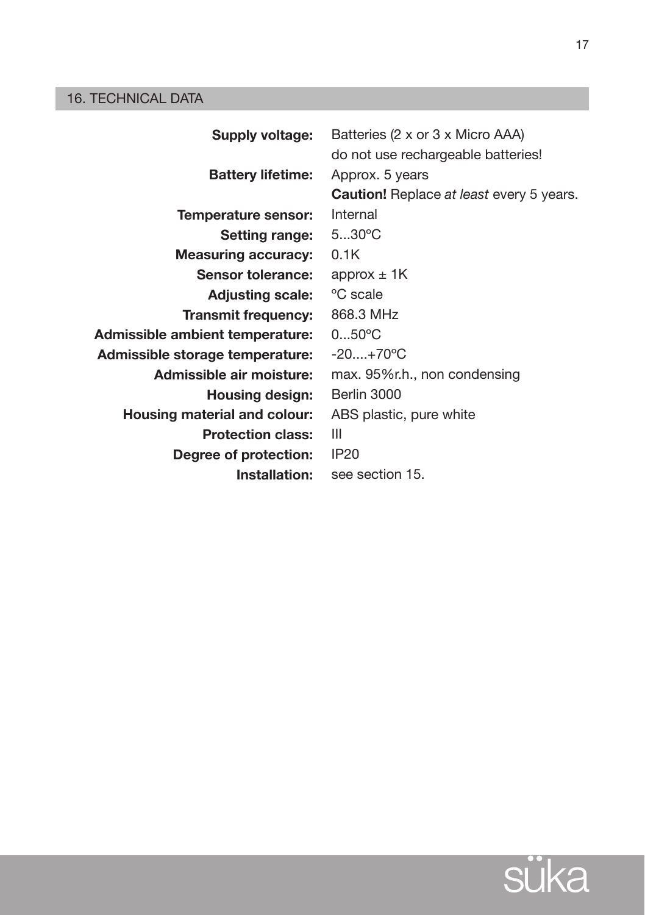# 16. TECHNICAL DATA

| <b>Supply voltage:</b>          | Batteries (2 x or 3 x Micro AAA)<br>do not use rechargeable batteries! |
|---------------------------------|------------------------------------------------------------------------|
| <b>Battery lifetime:</b>        | Approx. 5 years                                                        |
|                                 | <b>Caution!</b> Replace at least every 5 years.                        |
| Temperature sensor:             | Internal                                                               |
| <b>Setting range:</b>           | $530^{\circ}$ C                                                        |
| <b>Measuring accuracy:</b>      | 0.1K                                                                   |
| Sensor tolerance:               | approx $\pm$ 1K                                                        |
| <b>Adjusting scale:</b>         | <sup>o</sup> C scale                                                   |
| <b>Transmit frequency:</b>      | 868.3 MHz                                                              |
| Admissible ambient temperature: | $050^{\circ}$ C                                                        |
| Admissible storage temperature: | $-20+70$ °C                                                            |
| Admissible air moisture:        | max. 95%r.h., non condensing                                           |
| Housing design:                 | Berlin 3000                                                            |
| Housing material and colour:    | ABS plastic, pure white                                                |
| <b>Protection class:</b>        | Ш                                                                      |
| Degree of protection:           | <b>IP20</b>                                                            |
| Installation:                   | see section 15.                                                        |



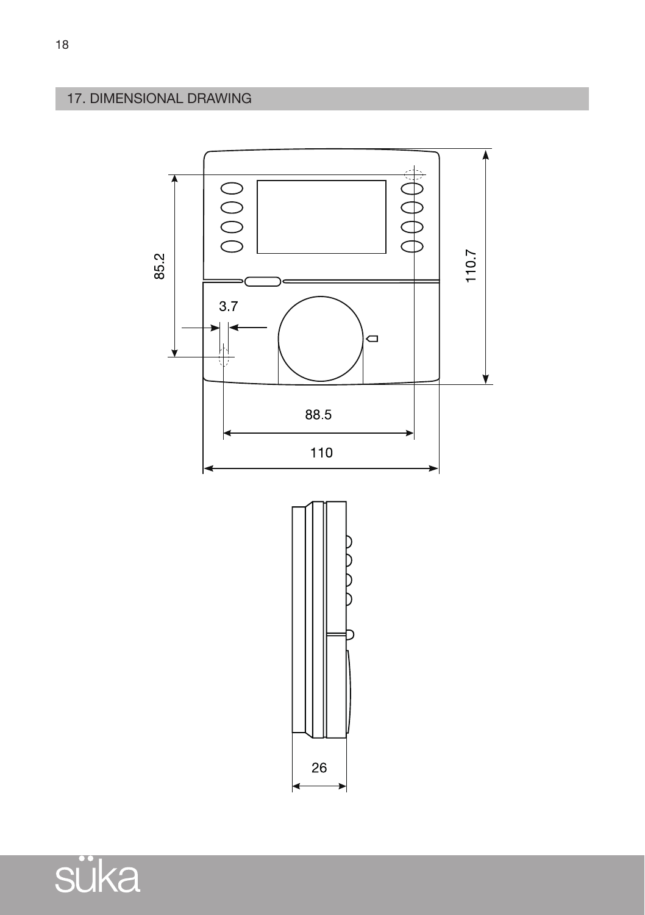# 17. DIMENSIONAL DRAWING



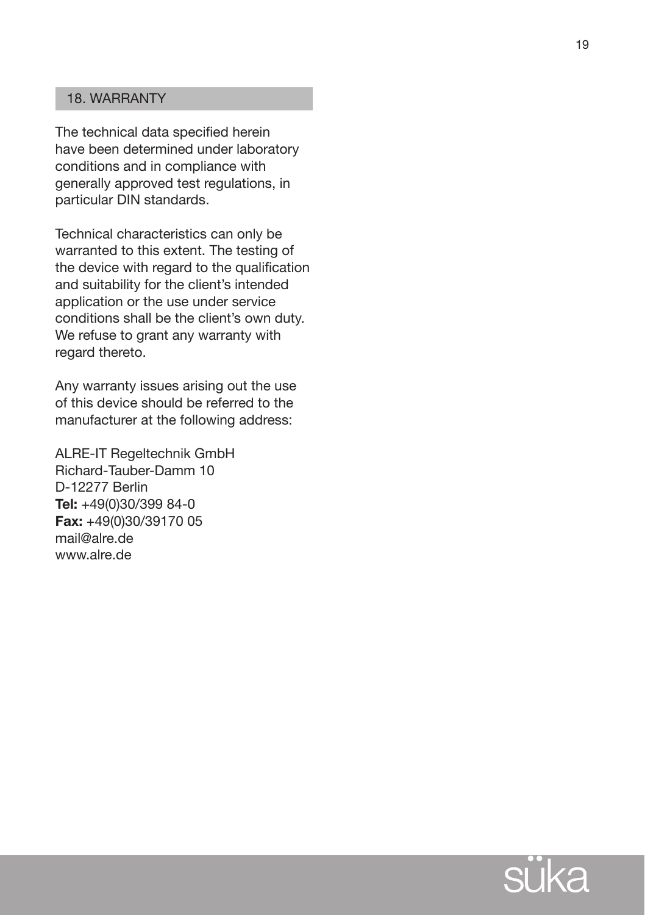# 18. WARRANTY

The technical data specified herein have been determined under laboratory conditions and in compliance with generally approved test regulations, in particular DIN standards.

Technical characteristics can only be warranted to this extent. The testing of the device with regard to the qualification and suitability for the client's intended application or the use under service conditions shall be the client's own duty. We refuse to grant any warranty with regard thereto.<br>Any warranty issues arising out the use

of this device should be referred to the manufacturer at the following address:

ALRE-IT Regeltechnik GmbH Richard-Tauber-Damm 10 D-12277 Berlin **Tel:** +49(0)30/399 84-0 **Fax:** +49(0)30/39170 05 mail@alre.de www.alre.de